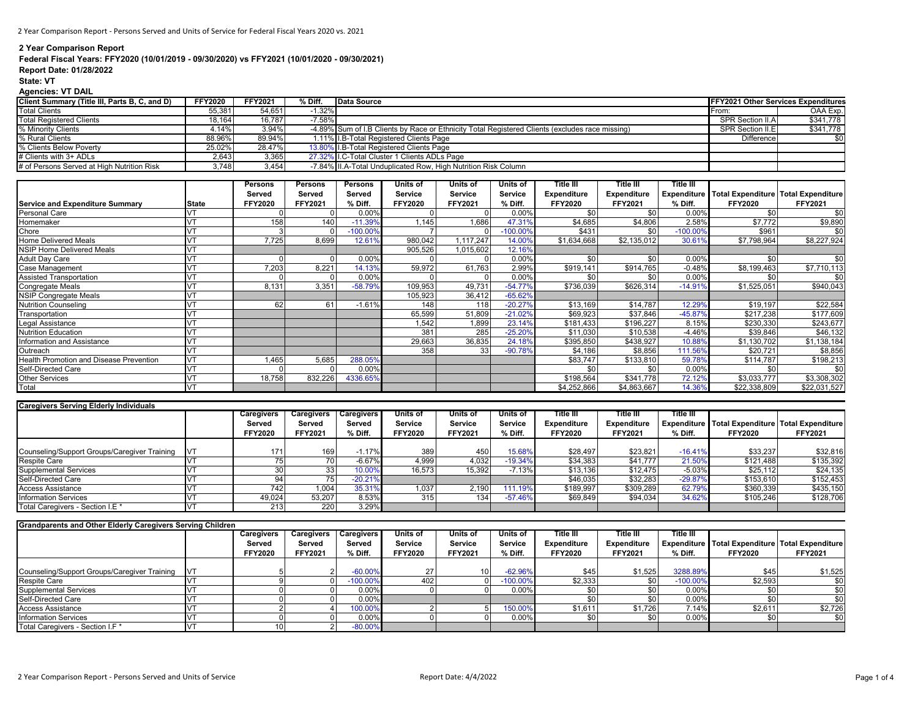# **2 Year Comparison Report**

# **Federal Fiscal Years: FFY2020 (10/01/2019 - 09/30/2020) vs FFY2021 (10/01/2020 - 09/30/2021)**

# **Report Date: 01/28/2022**

#### **State: VT**

# **Agencies: VT DAIL**

| Client Summary (Title III, Parts B, C, and D) | <b>FFY2020</b> | <b>FFY2021</b> | % Diff.   | Data Source                                                                                     | <b>IFFY2021 Other Services Expenditures</b> |                  |
|-----------------------------------------------|----------------|----------------|-----------|-------------------------------------------------------------------------------------------------|---------------------------------------------|------------------|
| <b>Total Clients</b>                          | 55.381         | 54.651         | $-1.32\%$ |                                                                                                 | ⊢rom:                                       | OAA Exp.         |
| <b>Total Registered Clients</b>               | 18,164         | 16.787         | $-7.58\%$ |                                                                                                 | SPR Section II.A                            | \$341,778        |
| % Minority Clients                            | 4.14%          | 3.94%          |           | -4.89% Sum of I.B Clients by Race or Ethnicity Total Registered Clients (excludes race missing) | SPR Section II.E                            | \$341,778        |
| % Rural Clients                               | 88.96%         | 89.94%         |           | 1.11% I.B-Total Registered Clients Page                                                         | <b>Difference</b>                           | \$0 <sub>1</sub> |
| % Clients Below Poverty                       | 25.02%         | 28.47%         |           | 13.80% I.B-Total Registered Clients Page                                                        |                                             |                  |
| # Clients with 3+ ADLs                        | 2.643          | 3.365          |           | 27.32% I.C-Total Cluster 1 Clients ADLs Page                                                    |                                             |                  |
| # of Persons Served at High Nutrition Risk    | 3.748          | 3.454          |           | -7.84% II.A-Total Unduplicated Row. High Nutrition Risk Column                                  |                                             |                  |

|                                         |            | Persons | <b>Persons</b> | <b>Persons</b> | Units of       | Units of       | Units of   | 'itle III          | Title III          | Title III  |                |                                                 |
|-----------------------------------------|------------|---------|----------------|----------------|----------------|----------------|------------|--------------------|--------------------|------------|----------------|-------------------------------------------------|
|                                         |            | Served  | Served         | Served         | Service        | Service        | Service    | <b>Expenditure</b> | <b>Expenditure</b> |            |                | Expenditure Total Expenditure Total Expenditure |
| <b>Service and Expenditure Summary</b>  | State      | FFY2020 | FFY2021        | % Diff.        | <b>FFY2020</b> | <b>FFY2021</b> | % Diff.    | <b>FFY2020</b>     | <b>FFY2021</b>     | % Diff.    | <b>FFY2020</b> | <b>FFY2021</b>                                  |
| Personal Care                           |            |         |                | 0.00%          |                |                | 0.00%      | .ፍስ                | \$0                | 0.00%      | \$0            | \$0                                             |
| Homemaker                               |            | 158     | 140            | $-11.39%$      | 1.145          | 1.686          | 47.31%     | \$4,685            | \$4,806            | 2.58%      | \$7,772        | \$9,890                                         |
| Chore                                   | <b>IVT</b> |         |                | $-100.00%$     |                |                | $-100.00%$ | \$431              | \$0                | $-100.00%$ | \$961          | \$0                                             |
| Home Delivered Meals                    |            | 7.725   | 8,699          | 12.61%         | 980.042        | .117.247       | 14.00%     | \$1,634,668        | \$2,135,012        | 30.61%     | \$7,798,964    | \$8,227,924                                     |
| <b>NSIP Home Delivered Meals</b>        |            |         |                |                | 905,526        | 1,015,602      | 12.16%     |                    |                    |            |                |                                                 |
| Adult Day Care                          |            |         |                | 0.00%          |                |                | 0.00%      | .ፍበ                | .ፍስ                | 0.00%      | \$0            | \$0                                             |
| Case Management                         |            | 7,203   | 8,221          | 14.139         | 59,972         | 61,763         | 2.99%      | \$919,141          | \$914,765          | $-0.48%$   | \$8,199,463    | \$7,710,113                                     |
| <b>Assisted Transportation</b>          |            |         |                | 0.00%          |                |                | 0.00%      | \$0                | \$0                | 0.00%      | \$0            | \$0                                             |
| Congregate Meals                        |            | 8,131   | 3,351          | $-58.79%$      | 109,953        | 49,731         | $-54.77%$  | \$736,039          | \$626,314          | $-14.919$  | \$1,525,051    | \$940,043                                       |
| <b>NSIP Congregate Meals</b>            |            |         |                |                | 105,923        | 36,412         | $-65.62%$  |                    |                    |            |                |                                                 |
| <b>Nutrition Counseling</b>             | <b>NT</b>  | 62      | 61             | $-1.61%$       | 148            | 118            | $-20.27%$  | \$13,169           | \$14,787           | 12.29%     | \$19,197       | \$22,584                                        |
| Transportation                          |            |         |                |                | 65,599         | 51,809         | $-21.02%$  | \$69,923           | \$37,846           | $-45.87%$  | \$217,238      | \$177,609                                       |
| egal Assistance                         |            |         |                |                | 1,542          | 1,899          | 23.14%     | \$181,433          | \$196,227          | 8.15%      | \$230,330      | \$243,677                                       |
| Nutrition Education                     |            |         |                |                | 381            | 285            | $-25.20%$  | \$11,030           | \$10,538           | $-4.46%$   | \$39,846       | \$46,132                                        |
| nformation and Assistance               |            |         |                |                | 29,663         | 36,835         | 24.18%     | \$395,850          | \$438,927          | 10.88      | \$1,130,702    | \$1,138,184                                     |
| Outreach                                |            |         |                |                | 358            | 33             | $-90.78%$  | \$4,186            | \$8,856            | 111.56%    | \$20,721       | \$8,856                                         |
| Health Promotion and Disease Prevention | VT         | 1,465   | 5,685          | 288.05%        |                |                |            | \$83,747           | \$133,810          | 59.78%     | \$114,787      | \$198,213                                       |
| Self-Directed Care                      | VT         |         |                | 0.00%          |                |                |            | \$0                | \$0                | 0.00%      | \$0            | \$0                                             |
| Other Services                          | VT         | 18,758  | 832,226        | 4336.659       |                |                |            | \$198,564          | \$341,778          | 72.12%     | \$3,033,777    | \$3,308,302                                     |
| Total                                   | <b>VT</b>  |         |                |                |                |                |            | \$4,252,866        | \$4,863,667        | 14.36%     | \$22,338,809   | \$22,031,527                                    |

| <b>Caregivers Serving Elderly Individuals</b> |            |                |                   |                   |                |                |                 |                    |                    |           |                                                     |                |
|-----------------------------------------------|------------|----------------|-------------------|-------------------|----------------|----------------|-----------------|--------------------|--------------------|-----------|-----------------------------------------------------|----------------|
|                                               |            | Caregivers     | <b>Caregivers</b> | <b>Caregivers</b> | Inits of       | Units of       | <b>Units of</b> | Title III          | Title III          | Title III |                                                     |                |
|                                               |            | Served         | Served            | Served            | Service        | <b>Service</b> | <b>Service</b>  | <b>Expenditure</b> | <b>Expenditure</b> |           | Expenditure   Total Expenditure   Total Expenditure |                |
|                                               |            | <b>FFY2020</b> | <b>FFY2021</b>    | % Diff.           | <b>FFY2020</b> | <b>FFY2021</b> | % Diff.         | <b>FFY2020</b>     | <b>FFY2021</b>     | % Diff.   | <b>FFY2020</b>                                      | <b>FFY2021</b> |
|                                               |            |                |                   |                   |                |                |                 |                    |                    |           |                                                     |                |
| Counseling/Support Groups/Caregiver Training  | <b>IVT</b> | 171            | 169               | $-1.17%$          | 389            | 450            | 15.68%          | \$28,497           | \$23,821           | $-16.41%$ | \$33,237                                            | \$32,816       |
| <b>Respite Care</b>                           |            |                |                   | $-6.67%$          | 4,999          | 4,032          | $-19.34%$       | \$34,383           | \$41,777           | 21.50%    | \$121,488                                           | \$135,392      |
| <b>Supplemental Services</b>                  |            |                | 33                | 10.00             | 16,573         | 15,392         | $-7.13%$        | \$13,136           | \$12,475           | $-5.03%$  | \$25,112                                            | \$24,135       |
| Self-Directed Care                            |            |                |                   | $-20.21%$         |                |                |                 | \$46,035           | \$32,283           | $-29.87%$ | \$153,610                                           | \$152,453      |
| <b>Access Assistance</b>                      |            | 7421           | .004              | 35.31%            | 1.037          | 2,190          | 111.19%         | \$189,997          | \$309,289          | 62.79%    | \$360,339                                           | \$435,150      |
| <b>Information Services</b>                   |            | 49,024         | 53.207            | 8.53%             | 315            | 134            | $-57.46%$       | \$69,849           | \$94,034           | 34.62%    | \$105,246                                           | \$128,706      |
| Total Caregivers - Section I.E *              |            | 213            | <b>220</b>        | 3.29%             |                |                |                 |                    |                    |           |                                                     |                |

| <b>Grandparents and Other Elderly Caregivers Serving Children</b> |            |                |                |                   |                |                |                |                |                    |                  |                                                 |                  |
|-------------------------------------------------------------------|------------|----------------|----------------|-------------------|----------------|----------------|----------------|----------------|--------------------|------------------|-------------------------------------------------|------------------|
|                                                                   |            | Caregivers     | Caregivers     | <b>Caregivers</b> | Units of       | Units of       | Units of       | Title III      | Title III          | <b>Title III</b> |                                                 |                  |
|                                                                   |            | Served         | Served         | Served            | Service        | <b>Service</b> | <b>Service</b> | Expenditure    | <b>Expenditure</b> |                  | Expenditure Total Expenditure Total Expenditure |                  |
|                                                                   |            | <b>FFY2020</b> | <b>FFY2021</b> | % Diff.           | <b>FFY2020</b> | <b>FFY2021</b> | % Diff.        | <b>FFY2020</b> | <b>FFY2021</b>     | % Diff.          | <b>FFY2020</b>                                  | <b>FFY2021</b>   |
|                                                                   |            |                |                |                   |                |                |                |                |                    |                  |                                                 |                  |
| Counseling/Support Groups/Caregiver Training                      | <b>IVT</b> |                |                | $-60.00\%$        |                | 10             | $-62.96%$      | \$45           | \$1,525            | 3288.89%         | \$45                                            | \$1,525          |
| <b>Respite Care</b>                                               |            |                |                | $-100.00\%$       | 402            |                | $-100.00%$     | \$2,333        |                    | $-100.00\%$      | \$2,593                                         | \$0              |
| <b>Supplemental Services</b>                                      |            |                |                | 0.00%             |                |                | 0.00%          |                |                    | 0.00%            |                                                 | \$0 <sub>1</sub> |
| <b>Self-Directed Care</b>                                         |            |                |                | $0.00\%$          |                |                |                |                |                    | 0.00%            |                                                 |                  |
| <b>Access Assistance</b>                                          |            |                |                | 100.00%           |                |                | 150.00%        | \$1,611        | \$1,726            | 7.14%            | \$2,611                                         | \$2,726          |
| <b>Information Services</b>                                       |            |                |                | 0.00%             |                |                | 0.00%          |                |                    | 0.00%            |                                                 |                  |
| Total Caregivers - Section I.F *                                  |            | 10             |                | $-80.00\%$        |                |                |                |                |                    |                  |                                                 |                  |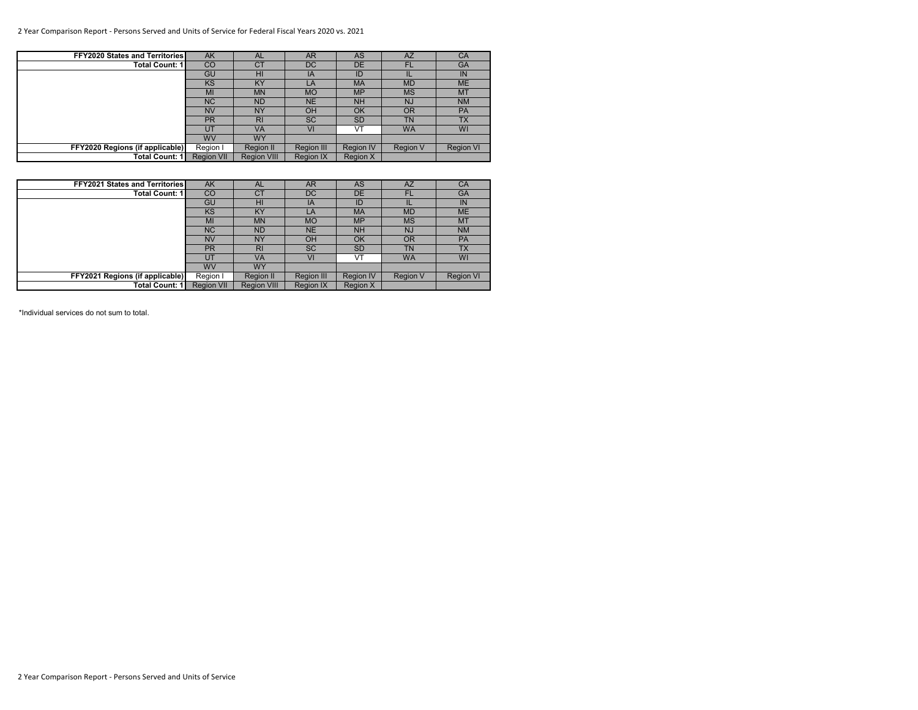# 2 Year Comparison Report - Persons Served and Units of Service for Federal Fiscal Years 2020 vs. 2021

| FFY2020 States and Territories  | <b>AK</b>         | <b>AL</b>          | <b>AR</b>         | <b>AS</b>        | AZ              | CA               |
|---------------------------------|-------------------|--------------------|-------------------|------------------|-----------------|------------------|
| <b>Total Count: 1</b>           | CO                | <b>CT</b>          | DC                | DE               | FL.             | <b>GA</b>        |
|                                 | GU                | HI                 | IA                | ID               |                 | IN               |
|                                 | <b>KS</b>         | KY                 | LA                | <b>MA</b>        | <b>MD</b>       | <b>ME</b>        |
|                                 | MI                | <b>MN</b>          | <b>MO</b>         | <b>MP</b>        | <b>MS</b>       | <b>MT</b>        |
|                                 | <b>NC</b>         | <b>ND</b>          | <b>NE</b>         | <b>NH</b>        | NJ              | <b>NM</b>        |
|                                 | <b>NV</b>         | <b>NY</b>          | OH                | OK               | <b>OR</b>       | <b>PA</b>        |
|                                 | <b>PR</b>         | R <sub>l</sub>     | <b>SC</b>         | <b>SD</b>        | TN              | <b>TX</b>        |
|                                 | UT                | VA                 | VI                | VT               | <b>WA</b>       | <b>WI</b>        |
|                                 | <b>WV</b>         | <b>WY</b>          |                   |                  |                 |                  |
| FFY2020 Regions (if applicable) | Region I          | Region II          | <b>Region III</b> | <b>Region IV</b> | <b>Region V</b> | <b>Region VI</b> |
| <b>Total Count: 1</b>           | <b>Region VII</b> | <b>Region VIII</b> | <b>Region IX</b>  | <b>Region X</b>  |                 |                  |

| <b>FFY2021 States and Territories</b> | <b>AK</b>         | <b>AL</b>          | <b>AR</b>         | <b>AS</b>        | AZ              | CA               |
|---------------------------------------|-------------------|--------------------|-------------------|------------------|-----------------|------------------|
| Total Count: 1 I                      | <b>CO</b>         | <b>CT</b>          | DC                | <b>DE</b>        | FL              | <b>GA</b>        |
|                                       | GU                | HI                 | IA                | ID               |                 | IN               |
|                                       | <b>KS</b>         | <b>KY</b>          | LA                | <b>MA</b>        | <b>MD</b>       | <b>ME</b>        |
|                                       | MI                | <b>MN</b>          | <b>MO</b>         | <b>MP</b>        | <b>MS</b>       | <b>MT</b>        |
|                                       | <b>NC</b>         | <b>ND</b>          | <b>NE</b>         | <b>NH</b>        | <b>NJ</b>       | <b>NM</b>        |
|                                       | <b>NV</b>         | <b>NY</b>          | OH                | OK               | <b>OR</b>       | <b>PA</b>        |
|                                       | <b>PR</b>         | R <sub>l</sub>     | <b>SC</b>         | <b>SD</b>        | <b>TN</b>       | <b>TX</b>        |
|                                       | UT                | VA                 | VI                | VT               | <b>WA</b>       | WI               |
|                                       | <b>WV</b>         | <b>WY</b>          |                   |                  |                 |                  |
| FFY2021 Regions (if applicable)       | Region I          | Region II          | <b>Region III</b> | <b>Region IV</b> | <b>Region V</b> | <b>Region VI</b> |
| Total Count: 1                        | <b>Region VII</b> | <b>Region VIII</b> | <b>Region IX</b>  | <b>Region X</b>  |                 |                  |

\*Individual services do not sum to total.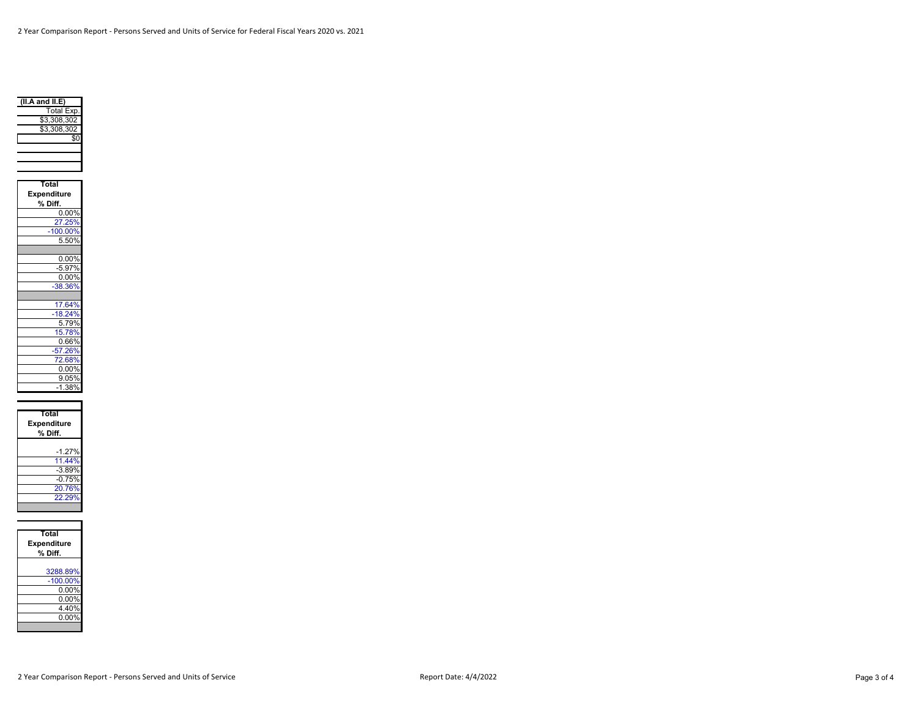

| Total              |
|--------------------|
| <b>Expenditure</b> |
| % Diff.            |
| $0.00\%$           |
| 27.25%             |
| $-100.00%$         |
| 5.50%              |
|                    |
| 0.00%              |
| $-5.97%$           |
| 0.00%              |
| $-38.36%$          |
|                    |
| 17.64%             |
| $-18.24%$          |
| 5.79%              |
| 15.78%             |
| $0.66\%$           |
| $-57.26%$          |
| 72.68%             |
| 0.00%              |
| 9.05%              |
| $-1.38%$           |

| Total<br>Expenditure<br>% Diff. |  |  |  |  |  |  |
|---------------------------------|--|--|--|--|--|--|
| $-1.27%$                        |  |  |  |  |  |  |
| 11.44%<br>$-3.89%$              |  |  |  |  |  |  |
| $-0.75%$<br>20.76%              |  |  |  |  |  |  |
| 22.29%                          |  |  |  |  |  |  |

| Total<br><b>Expenditure</b><br>% Diff. |
|----------------------------------------|
| 3288.89%                               |
| $-100.00\%$                            |
| 0.00%                                  |
| $0.00\%$                               |
| 4.40%                                  |
| $0.00\%$                               |
|                                        |